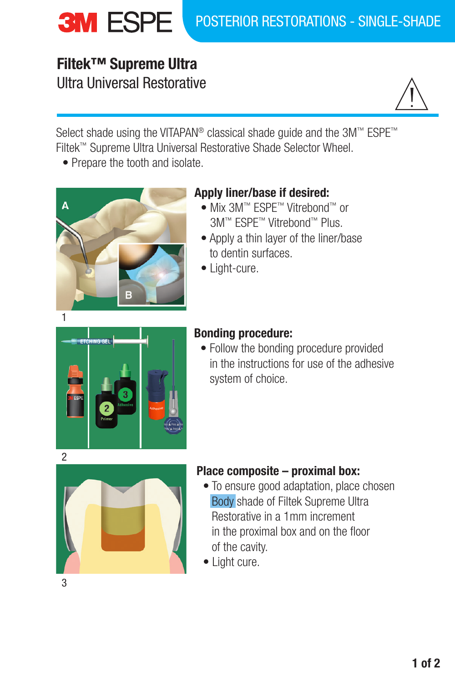# **Filtek™ Supreme Ultra** Ultra Universal Restorative



Select shade using the VITAPAN<sup>®</sup> classical shade guide and the 3M™ ESPE™ Filtek™ Supreme Ultra Universal Restorative Shade Selector Wheel.

• Prepare the tooth and isolate.



# **Apply liner/base if desired:**

- Mix 3M™ ESPE™ Vitrebond™ or 3M™ ESPE™ Vitrebond™ Plus.
- Apply a thin layer of the liner/base to dentin surfaces.
- Light-cure.



# **Bonding procedure:**

• Follow the bonding procedure provided in the instructions for use of the adhesive system of choice.



## **Place composite – proximal box:**

- To ensure good adaptation, place chosen Body shade of Filtek Supreme Ultra Restorative in a 1mm increment in the proximal box and on the floor of the cavity.
- Light cure.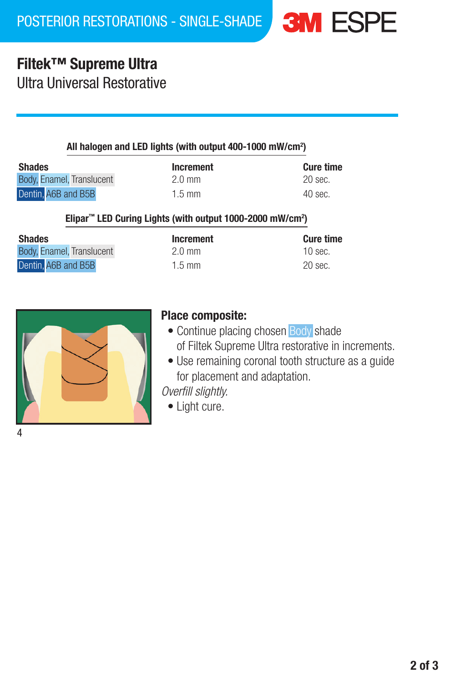# **Filtek™ Supreme Ultra**

Ultra Universal Restorative

### All halogen and LED lights (with output 400-1000 mW/cm2 )

| <b>Shades</b>             | Increment        | <b>Cure time</b> |
|---------------------------|------------------|------------------|
| Body, Enamel, Translucent | $2.0 \text{ mm}$ | 20 sec.          |
| Dentin, A6B and B5B       | $1.5 \text{ mm}$ | $40$ sec.        |

#### Elipar<sup>™</sup> LED Curing Lights (with output 1000-2000 mW/cm<sup>2</sup>)

| <b>Shades</b>             | Increment        | <b>Cure time</b> |
|---------------------------|------------------|------------------|
| Body, Enamel, Translucent | $2.0 \text{ mm}$ | $10$ sec.        |
| Dentin. A6B and B5B       | $1.5 \text{ mm}$ | 20 sec.          |



### **Place composite:**

- Continue placing chosen Body shade of Filtek Supreme Ultra restorative in increments.
- Use remaining coronal tooth structure as a guide for placement and adaptation.

*Overfill slightly.*

• Light cure.